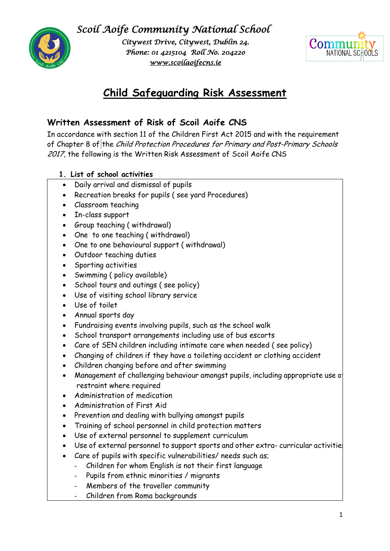



### **Child Safeguarding Risk Assessment**

### **Written Assessment of Risk of Scoil Aoife CNS**

In accordance with section 11 of the Children First Act 2015 and with the requirement of Chapter 8 of the Child Protection Procedures for Primary and Post-Primary Schools 2017, the following is the Written Risk Assessment of Scoil Aoife CNS

- **1. List of school activities**
- Daily arrival and dismissal of pupils
- Recreation breaks for pupils ( see yard Procedures)
- Classroom teaching
- In-class support
- Group teaching ( withdrawal)
- One to one teaching ( withdrawal)
- One to one behavioural support ( withdrawal)
- Outdoor teaching duties
- Sporting activities
- Swimming ( policy available)
- School tours and outings (see policy)
- Use of visiting school library service
- Use of toilet
- Annual sports day
- Fundraising events involving pupils, such as the school walk
- School transport arrangements including use of bus escorts
- Care of SEN children including intimate care when needed ( see policy)
- Changing of children if they have a toileting accident or clothing accident
- Children changing before and after swimming
- Management of challenging behaviour amongst pupils, including appropriate use of restraint where required
- Administration of medication
- Administration of First Aid
- Prevention and dealing with bullying amongst pupils
- Training of school personnel in child protection matters
- Use of external personnel to supplement curriculum
- Use of external personnel to support sports and other extra- curricular activities
- Care of pupils with specific vulnerabilities/ needs such as;
	- Children for whom English is not their first language
	- Pupils from ethnic minorities / migrants
	- Members of the traveller community
	- Children from Roma backgrounds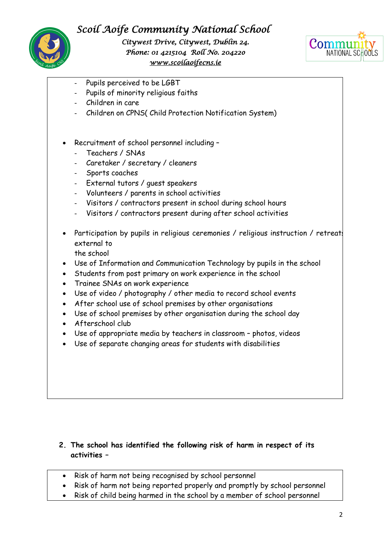



- Pupils perceived to be LGBT
- Pupils of minority religious faiths
- Children in care
- Children on CPNS( Child Protection Notification System)
- Recruitment of school personnel including
	- Teachers / SNAs
	- Caretaker / secretary / cleaners
	- Sports coaches
	- External tutors / guest speakers
	- Volunteers / parents in school activities
	- Visitors / contractors present in school during school hours
	- Visitors / contractors present during after school activities
- Participation by pupils in religious ceremonies / religious instruction / retreats external to the school
- Use of Information and Communication Technology by pupils in the school
- Students from post primary on work experience in the school
- Trainee SNAs on work experience
- Use of video / photography / other media to record school events
- After school use of school premises by other organisations
- Use of school premises by other organisation during the school day
- Afterschool club
- Use of appropriate media by teachers in classroom photos, videos
- Use of separate changing areas for students with disabilities

- **2. The school has identified the following risk of harm in respect of its activities –**
	- Risk of harm not being recognised by school personnel
	- Risk of harm not being reported properly and promptly by school personnel
- Risk of child being harmed in the school by a member of school personnel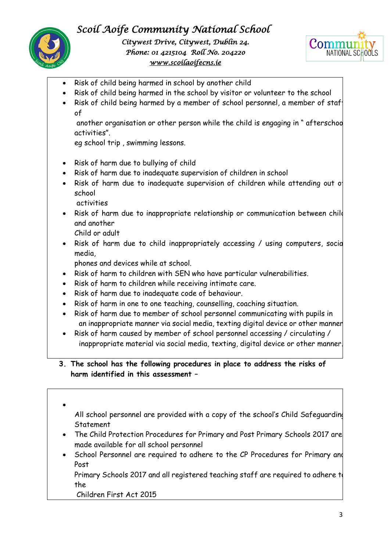



- Risk of child being harmed in school by another child
- Risk of child being harmed in the school by visitor or volunteer to the school
- Risk of child being harmed by a member of school personnel, a member of staf of

another organisation or other person while the child is engaging in " afterschool activities".

eg school trip , swimming lessons.

- Risk of harm due to bullying of child
- Risk of harm due to inadequate supervision of children in school
- Risk of harm due to inadequate supervision of children while attending out of school

activities

• Risk of harm due to inappropriate relationship or communication between child and another

Child or adult

• Risk of harm due to child inappropriately accessing / using computers, socid media,

phones and devices while at school.

- Risk of harm to children with SEN who have particular vulnerabilities.
- Risk of harm to children while receiving intimate care.
- Risk of harm due to inadequate code of behaviour.
- Risk of harm in one to one teaching, counselling, coaching situation.
- Risk of harm due to member of school personnel communicating with pupils in an inappropriate manner via social media, texting digital device or other manner.
- Risk of harm caused by member of school personnel accessing / circulating / inappropriate material via social media, texting, digital device or other manner.
- **3. The school has the following procedures in place to address the risks of harm identified in this assessment –**

 $\bullet$ 

All school personnel are provided with a copy of the school's Child Safeguarding **Statement** 

- The Child Protection Procedures for Primary and Post Primary Schools 2017 are made available for all school personnel
- School Personnel are required to adhere to the CP Procedures for Primary and Post

Primary Schools 2017 and all registered teaching staff are required to adhere to the

Children First Act 2015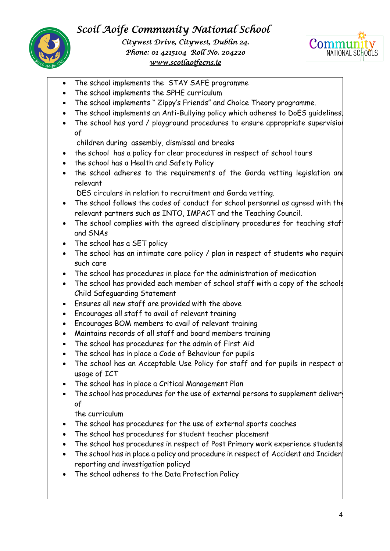



- The school implements the STAY SAFE programme
- The school implements the SPHE curriculum
- The school implements " Zippy's Friends" and Choice Theory programme.
- The school implements an Anti-Bullying policy which adheres to DoES guidelines.
- The school has yard / playground procedures to ensure appropriate supervision of

children during assembly, dismissal and breaks

- the school has a policy for clear procedures in respect of school tours
- the school has a Health and Safety Policy
- the school adheres to the requirements of the Garda vetting legislation and relevant

DES circulars in relation to recruitment and Garda vetting.

- The school follows the codes of conduct for school personnel as agreed with the relevant partners such as INTO, IMPACT and the Teaching Council.
- The school complies with the agreed disciplinary procedures for teaching staff and SNAs
- The school has a SET policy
- The school has an intimate care policy / plan in respect of students who require such care
- The school has procedures in place for the administration of medication
- The school has provided each member of school staff with a copy of the schools Child Safeguarding Statement
- Ensures all new staff are provided with the above
- Encourages all staff to avail of relevant training
- Encourages BOM members to avail of relevant training
- Maintains records of all staff and board members training
- The school has procedures for the admin of First Aid
- The school has in place a Code of Behaviour for pupils
- The school has an Acceptable Use Policy for staff and for pupils in respect of usage of ICT
- The school has in place a Critical Management Plan
- The school has procedures for the use of external persons to supplement delivery of

the curriculum

- The school has procedures for the use of external sports coaches
- The school has procedures for student teacher placement
- The school has procedures in respect of Post Primary work experience students
- The school has in place a policy and procedure in respect of Accident and Incident reporting and investigation policyd
- The school adheres to the Data Protection Policy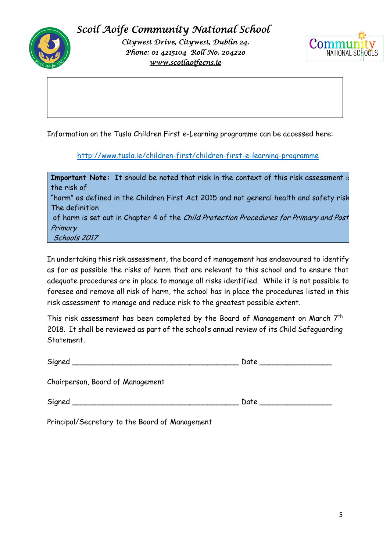

*Citywest Drive, Citywest, Dublin 24. Phone: 01 4215104 Roll No. 20422o www.scoilaoifecns.ie* 



Information on the Tusla Children First e-Learning programme can be accessed here:

<http://www.tusla.ie/children-first/children-first-e-learning-programme>

|                | <b>Important Note:</b> It should be noted that risk in the context of this risk assessment is |
|----------------|-----------------------------------------------------------------------------------------------|
| the risk of    |                                                                                               |
|                | "harm" as defined in the Children First Act 2015 and not general health and safety risk       |
| The definition |                                                                                               |
|                | of harm is set out in Chapter 4 of the Child Protection Procedures for Primary and Post       |
| Primary        |                                                                                               |
| Schools 2017   |                                                                                               |

In undertaking this risk assessment, the board of management has endeavoured to identify as far as possible the risks of harm that are relevant to this school and to ensure that adequate procedures are in place to manage all risks identified. While it is not possible to foresee and remove all risk of harm, the school has in place the procedures listed in this risk assessment to manage and reduce risk to the greatest possible extent.

This risk assessment has been completed by the Board of Management on March  $7<sup>th</sup>$ 2018. It shall be reviewed as part of the school's annual review of its Child Safeguarding Statement.

Sianed Sine and the set of the set of the set of the set of the set of the set of the set of the set of the set of the set of the set of the set of the set of the set of the set of the set of the set of the set of the set

Chairperson, Board of Management

Signed \_\_\_\_\_\_\_\_\_\_\_\_\_\_\_\_\_\_\_\_\_\_\_\_\_\_\_\_\_\_\_\_\_\_\_\_\_ Date \_\_\_\_\_\_\_\_\_\_\_\_\_\_\_\_

Principal/Secretary to the Board of Management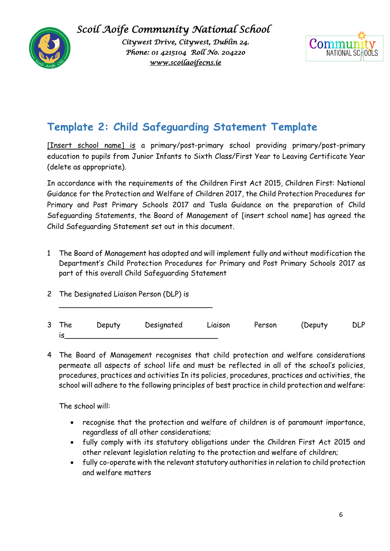



## **Template 2: Child Safeguarding Statement Template**

[Insert school name] is a primary/post-primary school providing primary/post-primary education to pupils from Junior Infants to Sixth Class/First Year to Leaving Certificate Year (delete as appropriate).

In accordance with the requirements of the Children First Act 2015, Children First: National Guidance for the Protection and Welfare of Children 2017, the Child Protection Procedures for Primary and Post Primary Schools 2017 and Tusla Guidance on the preparation of Child Safeguarding Statements, the Board of Management of [insert school name] has agreed the Child Safeguarding Statement set out in this document.

- 1 The Board of Management has adopted and will implement fully and without modification the Department's Child Protection Procedures for Primary and Post Primary Schools 2017 as part of this overall Child Safeguarding Statement
- 2 The Designated Liaison Person (DLP) is

 $\overline{\phantom{a}}$  , and the contract of the contract of the contract of the contract of the contract of the contract of the contract of the contract of the contract of the contract of the contract of the contract of the contrac

3 The Deputy Designated Liaison Person (Deputy DLP is\_\_\_\_\_\_\_\_\_\_\_\_\_\_\_\_\_\_\_\_\_\_\_\_\_\_\_\_\_\_\_\_\_\_

4 The Board of Management recognises that child protection and welfare considerations permeate all aspects of school life and must be reflected in all of the school's policies, procedures, practices and activities In its policies, procedures, practices and activities, the school will adhere to the following principles of best practice in child protection and welfare:

The school will:

- recognise that the protection and welfare of children is of paramount importance, regardless of all other considerations;
- fully comply with its statutory obligations under the Children First Act 2015 and other relevant legislation relating to the protection and welfare of children;
- fully co-operate with the relevant statutory authorities in relation to child protection and welfare matters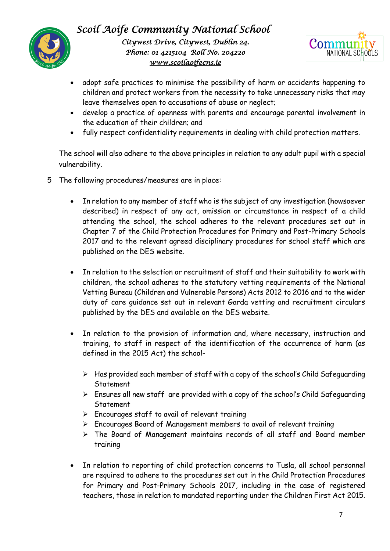



- adopt safe practices to minimise the possibility of harm or accidents happening to children and protect workers from the necessity to take unnecessary risks that may leave themselves open to accusations of abuse or neglect;
- develop a practice of openness with parents and encourage parental involvement in the education of their children; and
- fully respect confidentiality requirements in dealing with child protection matters.

The school will also adhere to the above principles in relation to any adult pupil with a special vulnerability.

- 5 The following procedures/measures are in place:
	- In relation to any member of staff who is the subject of any investigation (howsoever described) in respect of any act, omission or circumstance in respect of a child attending the school, the school adheres to the relevant procedures set out in Chapter 7 of the Child Protection Procedures for Primary and Post-Primary Schools 2017 and to the relevant agreed disciplinary procedures for school staff which are published on the DES website.
	- In relation to the selection or recruitment of staff and their suitability to work with children, the school adheres to the statutory vetting requirements of the National Vetting Bureau (Children and Vulnerable Persons) Acts 2012 to 2016 and to the wider duty of care guidance set out in relevant Garda vetting and recruitment circulars published by the DES and available on the DES website.
	- In relation to the provision of information and, where necessary, instruction and training, to staff in respect of the identification of the occurrence of harm (as defined in the 2015 Act) the school-
		- $\triangleright$  Has provided each member of staff with a copy of the school's Child Safeguarding **Statement**
		- Ensures all new staff are provided with a copy of the school's Child Safeguarding Statement
		- $\triangleright$  Encourages staff to avail of relevant training
		- Encourages Board of Management members to avail of relevant training
		- $\triangleright$  The Board of Management maintains records of all staff and Board member training
	- In relation to reporting of child protection concerns to Tusla, all school personnel are required to adhere to the procedures set out in the Child Protection Procedures for Primary and Post-Primary Schools 2017, including in the case of registered teachers, those in relation to mandated reporting under the Children First Act 2015.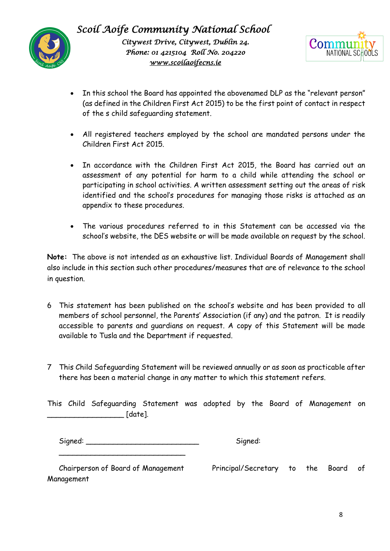



- In this school the Board has appointed the abovenamed DLP as the "relevant person" (as defined in the Children First Act 2015) to be the first point of contact in respect of the s child safeguarding statement.
- All registered teachers employed by the school are mandated persons under the Children First Act 2015.
- In accordance with the Children First Act 2015, the Board has carried out an assessment of any potential for harm to a child while attending the school or participating in school activities. A written assessment setting out the areas of risk identified and the school's procedures for managing those risks is attached as an appendix to these procedures.
- The various procedures referred to in this Statement can be accessed via the school's website, the DES website or will be made available on request by the school.

**Note:** The above is not intended as an exhaustive list. Individual Boards of Management shall also include in this section such other procedures/measures that are of relevance to the school in question.

- 6 This statement has been published on the school's website and has been provided to all members of school personnel, the Parents' Association (if any) and the patron. It is readily accessible to parents and guardians on request. A copy of this Statement will be made available to Tusla and the Department if requested.
- 7 This Child Safeguarding Statement will be reviewed annually or as soon as practicable after there has been a material change in any matter to which this statement refers.

This Child Safeguarding Statement was adopted by the Board of Management on  $\blacksquare$   $\blacksquare$   $\blacksquare$   $\blacksquare$ 

Signed: \_\_\_\_\_\_\_\_\_\_\_\_\_\_\_\_\_\_\_\_\_\_\_\_\_ Signed:

Management

 $\overline{\phantom{a}}$  , and the contract of the contract of the contract of the contract of the contract of the contract of the contract of the contract of the contract of the contract of the contract of the contract of the contrac

Chairperson of Board of Management Principal/Secretary to the Board of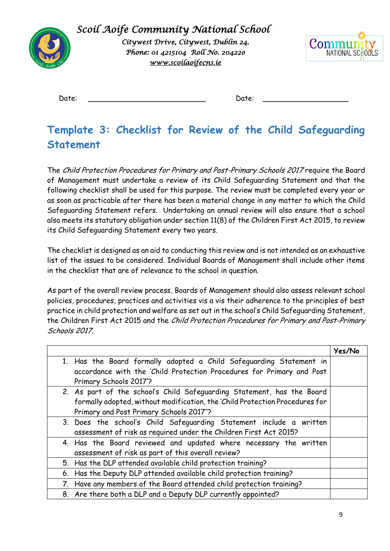

*Citywest Drive, Citywest, Dublin 24. Phone: 01 4215104 Roll No. 20422o www.scoilaoifecns.ie* 



Date: \_\_\_\_\_\_\_\_\_\_\_\_\_\_\_\_\_\_\_\_\_\_\_\_\_\_ Date: \_\_\_\_\_\_\_\_\_\_\_\_\_\_\_\_\_\_\_

### **Template 3: Checklist for Review of the Child Safeguarding Statement**

The Child Protection Procedures for Primary and Post-Primary Schools 2017 require the Board of Management must undertake a review of its Child Safeguarding Statement and that the following checklist shall be used for this purpose. The review must be completed every year or as soon as practicable after there has been a material change in any matter to which the Child Safeguarding Statement refers. Undertaking an annual review will also ensure that a school also meets its statutory obligation under section 11(8) of the Children First Act 2015, to review its Child Safeguarding Statement every two years.

The checklist is designed as an aid to conducting this review and is not intended as an exhaustive list of the issues to be considered. Individual Boards of Management shall include other items in the checklist that are of relevance to the school in question.

As part of the overall review process, Boards of Management should also assess relevant school policies, procedures, practices and activities vis a vis their adherence to the principles of best practice in child protection and welfare as set out in the school's Child Safeguarding Statement, the Children First Act 2015 and the Child Protection Procedures for Primary and Post-Primary Schools 2017.

|                                                                                                                                                                                                   | Yes/No |
|---------------------------------------------------------------------------------------------------------------------------------------------------------------------------------------------------|--------|
| 1. Has the Board formally adopted a Child Safeguarding Statement in<br>accordance with the 'Child Protection Procedures for Primary and Post<br>Primary Schools 2017'?                            |        |
| 2. As part of the school's Child Safeguarding Statement, has the Board<br>formally adopted, without modification, the 'Child Protection Procedures for<br>Primary and Post Primary Schools 2017"? |        |
| 3. Does the school's Child Safequarding Statement include a written<br>assessment of risk as required under the Children First Act 2015?                                                          |        |
| 4. Has the Board reviewed and updated where necessary the written<br>assessment of risk as part of this overall review?                                                                           |        |
| 5. Has the DLP attended available child protection training?                                                                                                                                      |        |
| 6. Has the Deputy DLP attended available child protection training?                                                                                                                               |        |
| 7. Have any members of the Board attended child protection training?                                                                                                                              |        |
| 8. Are there both a DLP and a Deputy DLP currently appointed?                                                                                                                                     |        |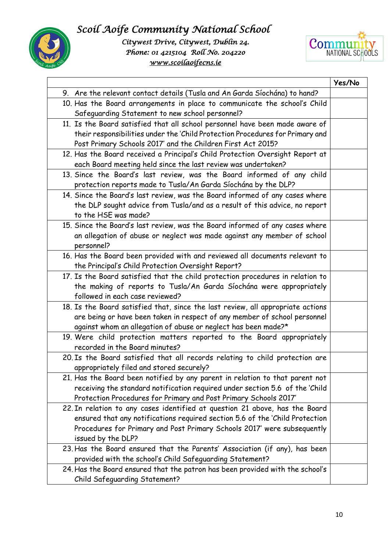



|                                                                                 | Yes/No |
|---------------------------------------------------------------------------------|--------|
| 9. Are the relevant contact details (Tusla and An Garda Síochána) to hand?      |        |
| 10. Has the Board arrangements in place to communicate the school's Child       |        |
| Safeguarding Statement to new school personnel?                                 |        |
| 11. Is the Board satisfied that all school personnel have been made aware of    |        |
| their responsibilities under the 'Child Protection Procedures for Primary and   |        |
| Post Primary Schools 2017' and the Children First Act 2015?                     |        |
| 12. Has the Board received a Principal's Child Protection Oversight Report at   |        |
| each Board meeting held since the last review was undertaken?                   |        |
| 13. Since the Board's last review, was the Board informed of any child          |        |
| protection reports made to Tusla/An Garda Síochána by the DLP?                  |        |
| 14. Since the Board's last review, was the Board informed of any cases where    |        |
| the DLP sought advice from Tusla/and as a result of this advice, no report      |        |
| to the HSE was made?                                                            |        |
| 15. Since the Board's last review, was the Board informed of any cases where    |        |
| an allegation of abuse or neglect was made against any member of school         |        |
| personnel?                                                                      |        |
| 16. Has the Board been provided with and reviewed all documents relevant to     |        |
| the Principal's Child Protection Oversight Report?                              |        |
| 17. Is the Board satisfied that the child protection procedures in relation to  |        |
| the making of reports to Tusla/An Garda Síochána were appropriately             |        |
| followed in each case reviewed?                                                 |        |
| 18. Is the Board satisfied that, since the last review, all appropriate actions |        |
| are being or have been taken in respect of any member of school personnel       |        |
| against whom an allegation of abuse or neglect has been made?*                  |        |
| 19. Were child protection matters reported to the Board appropriately           |        |
| recorded in the Board minutes?                                                  |        |
| 20. Is the Board satisfied that all records relating to child protection are    |        |
| appropriately filed and stored securely?                                        |        |
| 21. Has the Board been notified by any parent in relation to that parent not    |        |
| receiving the standard notification required under section 5.6 of the 'Child    |        |
| Protection Procedures for Primary and Post Primary Schools 2017'                |        |
| 22. In relation to any cases identified at question 21 above, has the Board     |        |
| ensured that any notifications required section 5.6 of the 'Child Protection    |        |
| Procedures for Primary and Post Primary Schools 2017' were subsequently         |        |
| issued by the DLP?                                                              |        |
| 23. Has the Board ensured that the Parents' Association (if any), has been      |        |
| provided with the school's Child Safeguarding Statement?                        |        |
| 24. Has the Board ensured that the patron has been provided with the school's   |        |
| Child Safeguarding Statement?                                                   |        |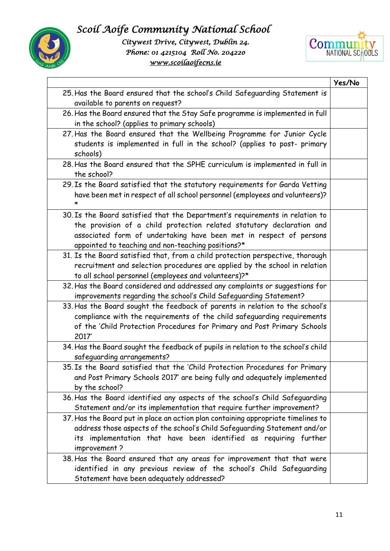



|                                                                                                                                                                                                                                                                                   | Yes/No |
|-----------------------------------------------------------------------------------------------------------------------------------------------------------------------------------------------------------------------------------------------------------------------------------|--------|
| 25. Has the Board ensured that the school's Child Safeguarding Statement is<br>available to parents on request?                                                                                                                                                                   |        |
| 26. Has the Board ensured that the Stay Safe programme is implemented in full<br>in the school? (applies to primary schools)                                                                                                                                                      |        |
| 27. Has the Board ensured that the Wellbeing Programme for Junior Cycle<br>students is implemented in full in the school? (applies to post- primary<br>schools)                                                                                                                   |        |
| 28. Has the Board ensured that the SPHE curriculum is implemented in full in<br>the school?                                                                                                                                                                                       |        |
| 29. Is the Board satisfied that the statutory requirements for Garda Vetting<br>have been met in respect of all school personnel (employees and volunteers)?<br>*                                                                                                                 |        |
| 30. Is the Board satisfied that the Department's requirements in relation to<br>the provision of a child protection related statutory declaration and<br>associated form of undertaking have been met in respect of persons<br>appointed to teaching and non-teaching positions?* |        |
| 31. Is the Board satisfied that, from a child protection perspective, thorough<br>recruitment and selection procedures are applied by the school in relation<br>to all school personnel (employees and volunteers)?*                                                              |        |
| 32. Has the Board considered and addressed any complaints or suggestions for<br>improvements regarding the school's Child Safeguarding Statement?                                                                                                                                 |        |
| 33. Has the Board sought the feedback of parents in relation to the school's<br>compliance with the requirements of the child safeguarding requirements<br>of the 'Child Protection Procedures for Primary and Post Primary Schools<br>2017'                                      |        |
| 34. Has the Board sought the feedback of pupils in relation to the school's child<br>safeguarding arrangements?                                                                                                                                                                   |        |
| 35. Is the Board satisfied that the 'Child Protection Procedures for Primary<br>and Post Primary Schools 2017' are being fully and adequately implemented<br>by the school?                                                                                                       |        |
| 36. Has the Board identified any aspects of the school's Child Safeguarding<br>Statement and/or its implementation that require further improvement?                                                                                                                              |        |
| 37. Has the Board put in place an action plan containing appropriate timelines to<br>address those aspects of the school's Child Safeguarding Statement and/or<br>its implementation that have been identified as requiring further<br>improvement?                               |        |
| 38. Has the Board ensured that any areas for improvement that that were<br>identified in any previous review of the school's Child Safeguarding<br>Statement have been adequately addressed?                                                                                      |        |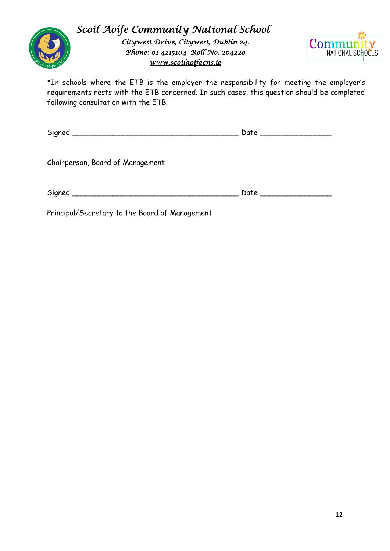



\*In schools where the ETB is the employer the responsibility for meeting the employer's requirements rests with the ETB concerned. In such cases, this question should be completed following consultation with the ETB.

| Chairperson, Board of Management |                                                                                                                                                                                                                                |  |
|----------------------------------|--------------------------------------------------------------------------------------------------------------------------------------------------------------------------------------------------------------------------------|--|
|                                  | Date the contract of the contract of the contract of the contract of the contract of the contract of the contract of the contract of the contract of the contract of the contract of the contract of the contract of the contr |  |

Principal/Secretary to the Board of Management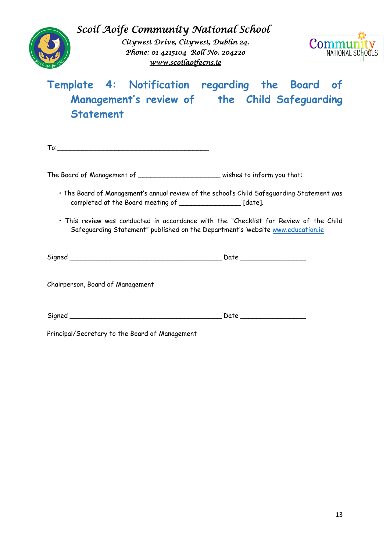

*Scoil Aoife Community National School Citywest Drive, Citywest, Dublin 24.* 

*Phone: 01 4215104 Roll No. 20422o www.scoilaoifecns.ie* 



# **Template 4: Notification regarding the Board of Management's review of the Child Safeguarding Statement**

| - |  |
|---|--|
|   |  |
|   |  |
|   |  |
|   |  |

The Board of Management of \_\_\_\_\_\_\_\_\_\_\_\_\_\_\_\_\_\_\_\_\_\_\_\_\_\_ wishes to inform you that:

- The Board of Management's annual review of the school's Child Safeguarding Statement was completed at the Board meeting of \_\_\_\_\_\_\_\_\_\_\_\_\_\_\_ [date].
- This review was conducted in accordance with the "Checklist for Review of the Child Safeguarding Statement" published on the Department's 'website [www.education.ie](http://www.education.ie/)

| Signed | )nte<br>---- |  |
|--------|--------------|--|
|        |              |  |

Chairperson, Board of Management

Signed \_\_\_\_\_\_\_\_\_\_\_\_\_\_\_\_\_\_\_\_\_\_\_\_\_\_\_\_\_\_\_\_\_\_\_\_\_ Date \_\_\_\_\_\_\_\_\_\_\_\_\_\_\_\_

Principal/Secretary to the Board of Management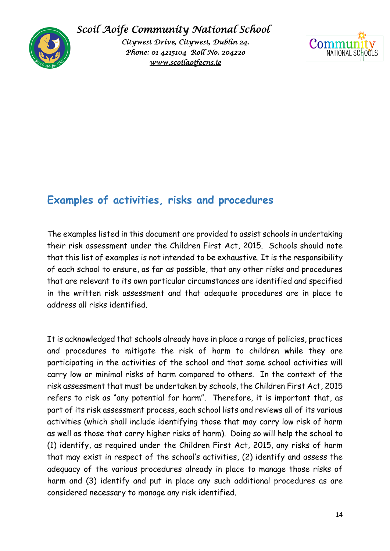

*Citywest Drive, Citywest, Dublin 24. Phone: 01 4215104 Roll No. 20422o www.scoilaoifecns.ie* 



### **Examples of activities, risks and procedures**

The examples listed in this document are provided to assist schools in undertaking their risk assessment under the Children First Act, 2015. Schools should note that this list of examples is not intended to be exhaustive. It is the responsibility of each school to ensure, as far as possible, that any other risks and procedures that are relevant to its own particular circumstances are identified and specified in the written risk assessment and that adequate procedures are in place to address all risks identified.

It is acknowledged that schools already have in place a range of policies, practices and procedures to mitigate the risk of harm to children while they are participating in the activities of the school and that some school activities will carry low or minimal risks of harm compared to others. In the context of the risk assessment that must be undertaken by schools, the Children First Act, 2015 refers to risk as "any potential for harm". Therefore, it is important that, as part of its risk assessment process, each school lists and reviews all of its various activities (which shall include identifying those that may carry low risk of harm as well as those that carry higher risks of harm). Doing so will help the school to (1) identify, as required under the Children First Act, 2015, any risks of harm that may exist in respect of the school's activities, (2) identify and assess the adequacy of the various procedures already in place to manage those risks of harm and (3) identify and put in place any such additional procedures as are considered necessary to manage any risk identified.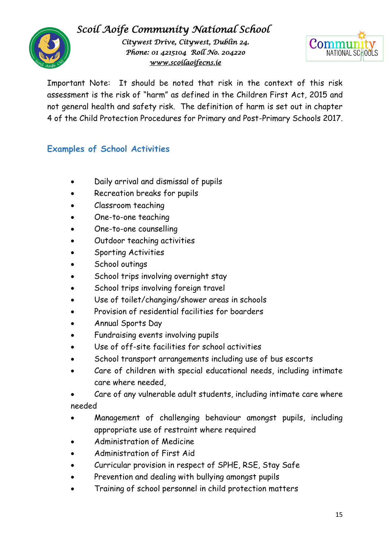



Important Note: It should be noted that risk in the context of this risk assessment is the risk of "harm" as defined in the Children First Act, 2015 and not general health and safety risk. The definition of harm is set out in chapter 4 of the Child Protection Procedures for Primary and Post-Primary Schools 2017.

#### **Examples of School Activities**

- Daily arrival and dismissal of pupils
- Recreation breaks for pupils
- Classroom teaching
- One-to-one teaching
- One-to-one counselling
- Outdoor teaching activities
- Sporting Activities
- School outings
- School trips involving overnight stay
- School trips involving foreign travel
- Use of toilet/changing/shower areas in schools
- Provision of residential facilities for boarders
- Annual Sports Day
- Fundraising events involving pupils
- Use of off-site facilities for school activities
- School transport arrangements including use of bus escorts
- Care of children with special educational needs, including intimate care where needed,
- Care of any vulnerable adult students, including intimate care where needed
- Management of challenging behaviour amongst pupils, including appropriate use of restraint where required
- Administration of Medicine
- Administration of First Aid
- Curricular provision in respect of SPHE, RSE, Stay Safe
- Prevention and dealing with bullying amongst pupils
- Training of school personnel in child protection matters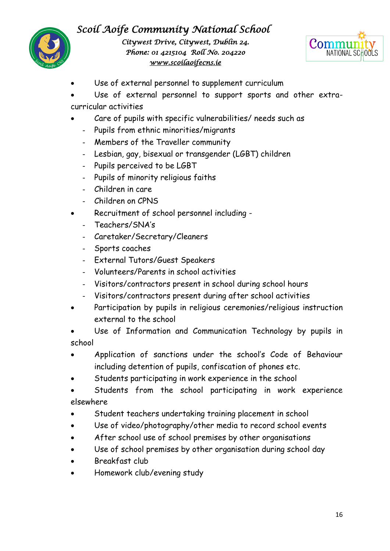



- Use of external personnel to supplement curriculum
- Use of external personnel to support sports and other extracurricular activities
- Care of pupils with specific vulnerabilities/ needs such as
	- Pupils from ethnic minorities/migrants
	- Members of the Traveller community
	- Lesbian, gay, bisexual or transgender (LGBT) children
	- Pupils perceived to be LGBT
	- Pupils of minority religious faiths
	- Children in care
	- Children on CPNS
- Recruitment of school personnel including
	- Teachers/SNA's
	- Caretaker/Secretary/Cleaners
	- Sports coaches
	- External Tutors/Guest Speakers
	- Volunteers/Parents in school activities
	- Visitors/contractors present in school during school hours
	- Visitors/contractors present during after school activities
- Participation by pupils in religious ceremonies/religious instruction external to the school
- Use of Information and Communication Technology by pupils in school
- Application of sanctions under the school's Code of Behaviour including detention of pupils, confiscation of phones etc.
- Students participating in work experience in the school
- Students from the school participating in work experience elsewhere
- Student teachers undertaking training placement in school
- Use of video/photography/other media to record school events
- After school use of school premises by other organisations
- Use of school premises by other organisation during school day
- Breakfast club
- Homework club/evening study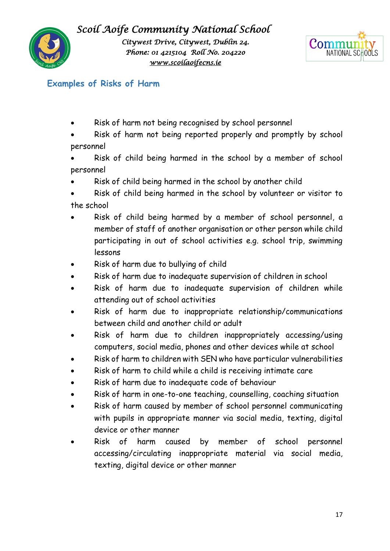

*Citywest Drive, Citywest, Dublin 24. Phone: 01 4215104 Roll No. 20422o www.scoilaoifecns.ie* 



**Examples of Risks of Harm**

- Risk of harm not being recognised by school personnel
- Risk of harm not being reported properly and promptly by school personnel

 Risk of child being harmed in the school by a member of school personnel

- Risk of child being harmed in the school by another child
- Risk of child being harmed in the school by volunteer or visitor to the school
- Risk of child being harmed by a member of school personnel, a member of staff of another organisation or other person while child participating in out of school activities e.g. school trip, swimming lessons
- Risk of harm due to bullying of child
- Risk of harm due to inadequate supervision of children in school
- Risk of harm due to inadequate supervision of children while attending out of school activities
- Risk of harm due to inappropriate relationship/communications between child and another child or adult
- Risk of harm due to children inappropriately accessing/using computers, social media, phones and other devices while at school
- Risk of harm to children with SEN who have particular vulnerabilities
- Risk of harm to child while a child is receiving intimate care
- Risk of harm due to inadequate code of behaviour
- Risk of harm in one-to-one teaching, counselling, coaching situation
- Risk of harm caused by member of school personnel communicating with pupils in appropriate manner via social media, texting, digital device or other manner
- Risk of harm caused by member of school personnel accessing/circulating inappropriate material via social media, texting, digital device or other manner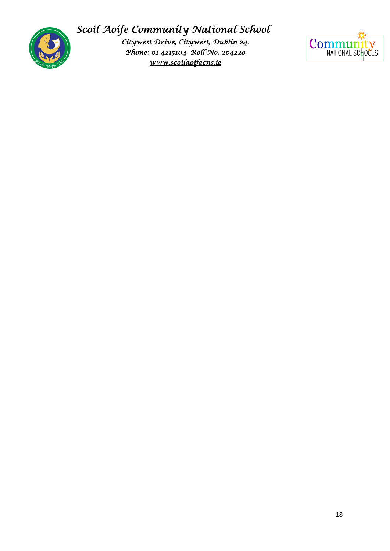

*Citywest Drive, Citywest, Dublin 24. Phone: 01 4215104 Roll No. 20422o www.scoilaoifecns.ie* 

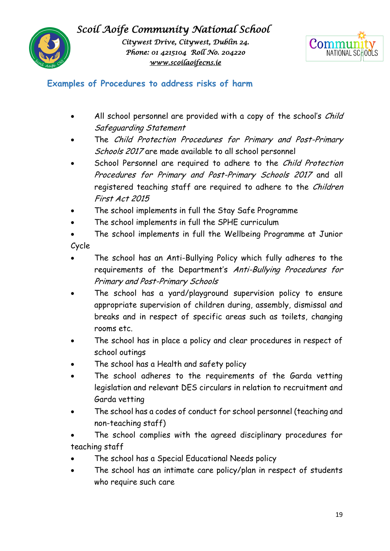



**Examples of Procedures to address risks of harm**

- All school personnel are provided with a copy of the school's Child Safeguarding Statement
- The Child Protection Procedures for Primary and Post-Primary Schools 2017 are made available to all school personnel
- School Personnel are required to adhere to the Child Protection Procedures for Primary and Post-Primary Schools 2017 and all registered teaching staff are required to adhere to the Children First Act 2015
- The school implements in full the Stay Safe Programme
- The school implements in full the SPHE curriculum
- The school implements in full the Wellbeing Programme at Junior Cycle
- The school has an Anti-Bullying Policy which fully adheres to the requirements of the Department's Anti-Bullying Procedures for Primary and Post-Primary Schools
- The school has a yard/playground supervision policy to ensure appropriate supervision of children during, assembly, dismissal and breaks and in respect of specific areas such as toilets, changing rooms etc.
- The school has in place a policy and clear procedures in respect of school outings
- The school has a Health and safety policy
- The school adheres to the requirements of the Garda vetting legislation and relevant DES circulars in relation to recruitment and Garda vetting
- The school has a codes of conduct for school personnel (teaching and non-teaching staff)
- The school complies with the agreed disciplinary procedures for teaching staff
- The school has a Special Educational Needs policy
- The school has an intimate care policy/plan in respect of students who require such care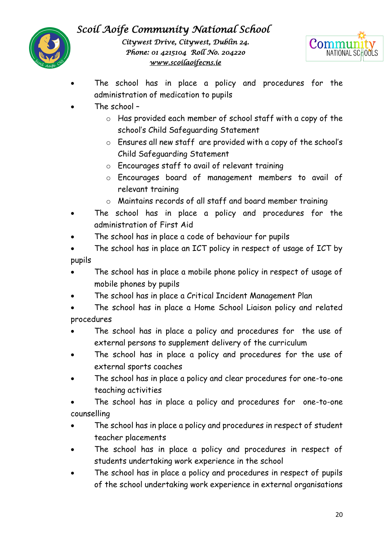



- The school has in place a policy and procedures for the administration of medication to pupils
- The school
	- o Has provided each member of school staff with a copy of the school's Child Safeguarding Statement
	- o Ensures all new staff are provided with a copy of the school's Child Safeguarding Statement
	- o Encourages staff to avail of relevant training
	- o Encourages board of management members to avail of relevant training
	- o Maintains records of all staff and board member training
- The school has in place a policy and procedures for the administration of First Aid
- The school has in place a code of behaviour for pupils
- The school has in place an ICT policy in respect of usage of ICT by pupils
- The school has in place a mobile phone policy in respect of usage of mobile phones by pupils
- The school has in place a Critical Incident Management Plan
- The school has in place a Home School Liaison policy and related procedures
- The school has in place a policy and procedures for the use of external persons to supplement delivery of the curriculum
- The school has in place a policy and procedures for the use of external sports coaches
- The school has in place a policy and clear procedures for one-to-one teaching activities
- The school has in place a policy and procedures for one-to-one counselling
- The school has in place a policy and procedures in respect of student teacher placements
- The school has in place a policy and procedures in respect of students undertaking work experience in the school
- The school has in place a policy and procedures in respect of pupils of the school undertaking work experience in external organisations